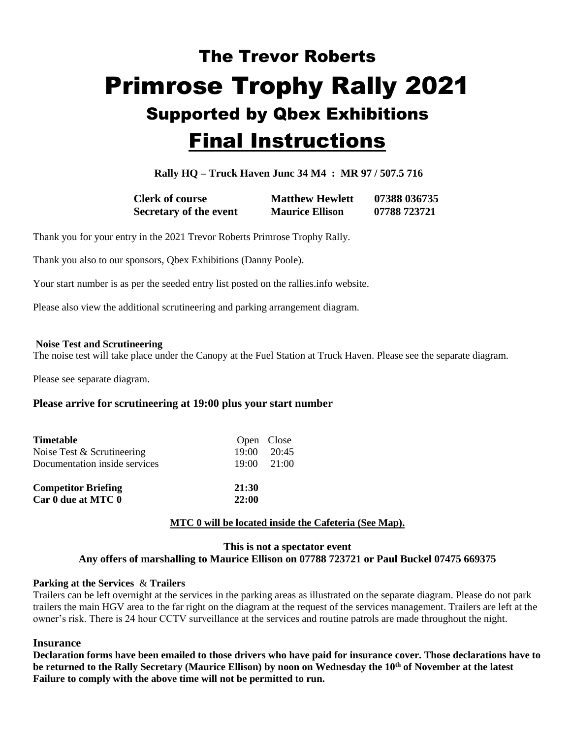# The Trevor Roberts Primrose Trophy Rally 2021 Supported by Qbex Exhibitions Final Instructions

**Rally HQ – Truck Haven Junc 34 M4 : MR 97 / 507.5 716**

**Clerk of course Matthew Hewlett 07388 036735 Secretary of the event Maurice Ellison 07788 723721**

Thank you for your entry in the 2021 Trevor Roberts Primrose Trophy Rally.

Thank you also to our sponsors, Qbex Exhibitions (Danny Poole).

Your start number is as per the seeded entry list posted on the rallies.info website.

Please also view the additional scrutineering and parking arrangement diagram.

#### **Noise Test and Scrutineering**

The noise test will take place under the Canopy at the Fuel Station at Truck Haven. Please see the separate diagram.

Please see separate diagram.

# **Please arrive for scrutineering at 19:00 plus your start number**

| <b>Timetable</b>              |       | Open Close          |
|-------------------------------|-------|---------------------|
| Noise Test & Scrutineering    |       | 19:00 20:45         |
| Documentation inside services |       | $19:00 \quad 21:00$ |
| <b>Competitor Briefing</b>    | 21:30 |                     |
| Car 0 due at MTC 0            | 22:00 |                     |
|                               |       |                     |

# **MTC 0 will be located inside the Cafeteria (See Map).**

#### **This is not a spectator event Any offers of marshalling to Maurice Ellison on 07788 723721 or Paul Buckel 07475 669375**

#### **Parking at the Services** & **Trailers**

Trailers can be left overnight at the services in the parking areas as illustrated on the separate diagram. Please do not park trailers the main HGV area to the far right on the diagram at the request of the services management. Trailers are left at the owner's risk. There is 24 hour CCTV surveillance at the services and routine patrols are made throughout the night.

#### **Insurance**

**Declaration forms have been emailed to those drivers who have paid for insurance cover. Those declarations have to be returned to the Rally Secretary (Maurice Ellison) by noon on Wednesday the 10th of November at the latest Failure to comply with the above time will not be permitted to run.**